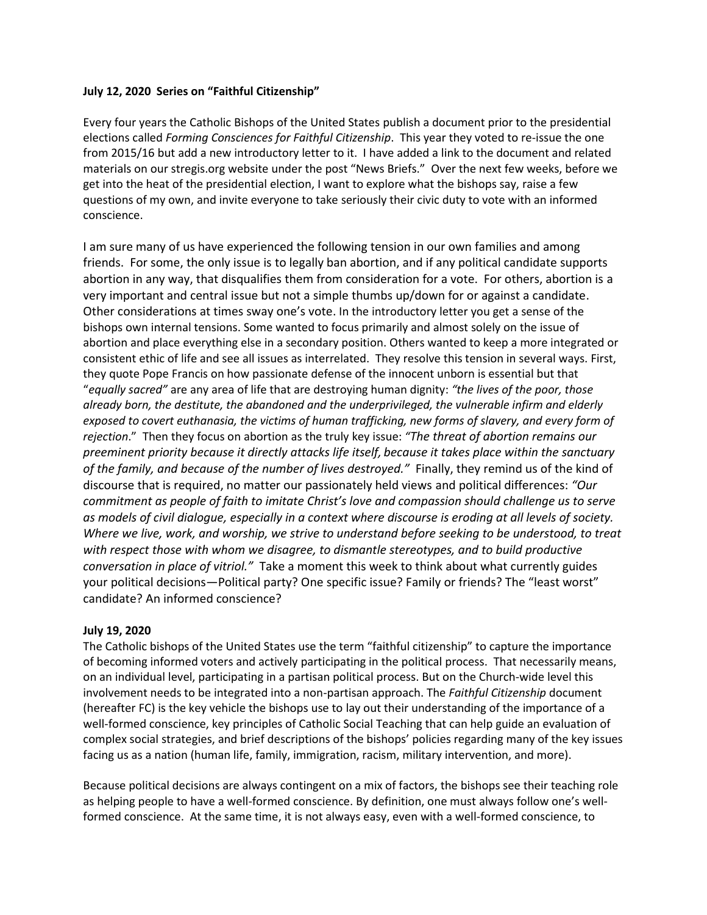# **July 12, 2020 Series on "Faithful Citizenship"**

Every four years the Catholic Bishops of the United States publish a document prior to the presidential elections called *Forming Consciences for Faithful Citizenship*. This year they voted to re-issue the one from 2015/16 but add a new introductory letter to it. I have added a link to the document and related materials on our stregis.org website under the post "News Briefs." Over the next few weeks, before we get into the heat of the presidential election, I want to explore what the bishops say, raise a few questions of my own, and invite everyone to take seriously their civic duty to vote with an informed conscience.

I am sure many of us have experienced the following tension in our own families and among friends. For some, the only issue is to legally ban abortion, and if any political candidate supports abortion in any way, that disqualifies them from consideration for a vote. For others, abortion is a very important and central issue but not a simple thumbs up/down for or against a candidate. Other considerations at times sway one's vote. In the introductory letter you get a sense of the bishops own internal tensions. Some wanted to focus primarily and almost solely on the issue of abortion and place everything else in a secondary position. Others wanted to keep a more integrated or consistent ethic of life and see all issues as interrelated. They resolve this tension in several ways. First, they quote Pope Francis on how passionate defense of the innocent unborn is essential but that "*equally sacred"* are any area of life that are destroying human dignity: *"the lives of the poor, those already born, the destitute, the abandoned and the underprivileged, the vulnerable infirm and elderly exposed to covert euthanasia, the victims of human trafficking, new forms of slavery, and every form of rejection*." Then they focus on abortion as the truly key issue: *"The threat of abortion remains our preeminent priority because it directly attacks life itself, because it takes place within the sanctuary of the family, and because of the number of lives destroyed."* Finally, they remind us of the kind of discourse that is required, no matter our passionately held views and political differences: *"Our commitment as people of faith to imitate Christ's love and compassion should challenge us to serve as models of civil dialogue, especially in a context where discourse is eroding at all levels of society. Where we live, work, and worship, we strive to understand before seeking to be understood, to treat with respect those with whom we disagree, to dismantle stereotypes, and to build productive conversation in place of vitriol."* Take a moment this week to think about what currently guides your political decisions—Political party? One specific issue? Family or friends? The "least worst" candidate? An informed conscience?

# **July 19, 2020**

The Catholic bishops of the United States use the term "faithful citizenship" to capture the importance of becoming informed voters and actively participating in the political process. That necessarily means, on an individual level, participating in a partisan political process. But on the Church-wide level this involvement needs to be integrated into a non-partisan approach. The *Faithful Citizenship* document (hereafter FC) is the key vehicle the bishops use to lay out their understanding of the importance of a well-formed conscience, key principles of Catholic Social Teaching that can help guide an evaluation of complex social strategies, and brief descriptions of the bishops' policies regarding many of the key issues facing us as a nation (human life, family, immigration, racism, military intervention, and more).

Because political decisions are always contingent on a mix of factors, the bishops see their teaching role as helping people to have a well-formed conscience. By definition, one must always follow one's wellformed conscience. At the same time, it is not always easy, even with a well-formed conscience, to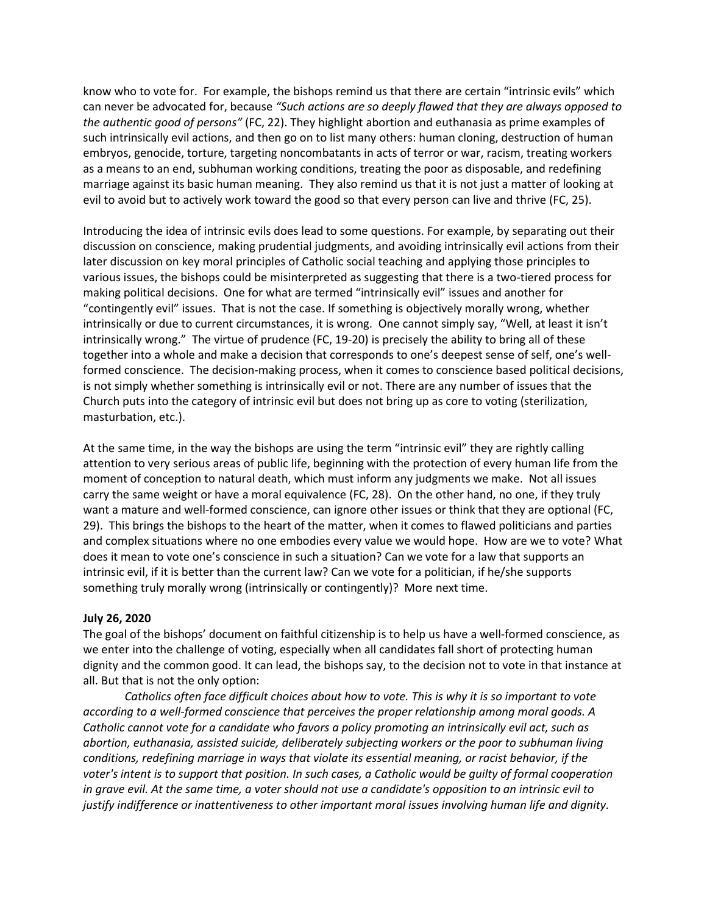know who to vote for. For example, the bishops remind us that there are certain "intrinsic evils" which can never be advocated for, because *"Such actions are so deeply flawed that they are always opposed to the authentic good of persons"* (FC, 22). They highlight abortion and euthanasia as prime examples of such intrinsically evil actions, and then go on to list many others: human cloning, destruction of human embryos, genocide, torture, targeting noncombatants in acts of terror or war, racism, treating workers as a means to an end, subhuman working conditions, treating the poor as disposable, and redefining marriage against its basic human meaning. They also remind us that it is not just a matter of looking at evil to avoid but to actively work toward the good so that every person can live and thrive (FC, 25).

Introducing the idea of intrinsic evils does lead to some questions. For example, by separating out their discussion on conscience, making prudential judgments, and avoiding intrinsically evil actions from their later discussion on key moral principles of Catholic social teaching and applying those principles to various issues, the bishops could be misinterpreted as suggesting that there is a two-tiered process for making political decisions. One for what are termed "intrinsically evil" issues and another for "contingently evil" issues. That is not the case. If something is objectively morally wrong, whether intrinsically or due to current circumstances, it is wrong. One cannot simply say, "Well, at least it isn't intrinsically wrong." The virtue of prudence (FC, 19-20) is precisely the ability to bring all of these together into a whole and make a decision that corresponds to one's deepest sense of self, one's wellformed conscience. The decision-making process, when it comes to conscience based political decisions, is not simply whether something is intrinsically evil or not. There are any number of issues that the Church puts into the category of intrinsic evil but does not bring up as core to voting (sterilization, masturbation, etc.).

At the same time, in the way the bishops are using the term "intrinsic evil" they are rightly calling attention to very serious areas of public life, beginning with the protection of every human life from the moment of conception to natural death, which must inform any judgments we make. Not all issues carry the same weight or have a moral equivalence (FC, 28). On the other hand, no one, if they truly want a mature and well-formed conscience, can ignore other issues or think that they are optional (FC, 29). This brings the bishops to the heart of the matter, when it comes to flawed politicians and parties and complex situations where no one embodies every value we would hope. How are we to vote? What does it mean to vote one's conscience in such a situation? Can we vote for a law that supports an intrinsic evil, if it is better than the current law? Can we vote for a politician, if he/she supports something truly morally wrong (intrinsically or contingently)? More next time.

# **July 26, 2020**

The goal of the bishops' document on faithful citizenship is to help us have a well-formed conscience, as we enter into the challenge of voting, especially when all candidates fall short of protecting human dignity and the common good. It can lead, the bishops say, to the decision not to vote in that instance at all. But that is not the only option:

*Catholics often face difficult choices about how to vote. This is why it is so important to vote according to a well-formed conscience that perceives the proper relationship among moral goods. A Catholic cannot vote for a candidate who favors a policy promoting an intrinsically evil act, such as abortion, euthanasia, assisted suicide, deliberately subjecting workers or the poor to subhuman living conditions, redefining marriage in ways that violate its essential meaning, or racist behavior, if the voter's intent is to support that position. In such cases, a Catholic would be guilty of formal cooperation in grave evil. At the same time, a voter should not use a candidate's opposition to an intrinsic evil to justify indifference or inattentiveness to other important moral issues involving human life and dignity.*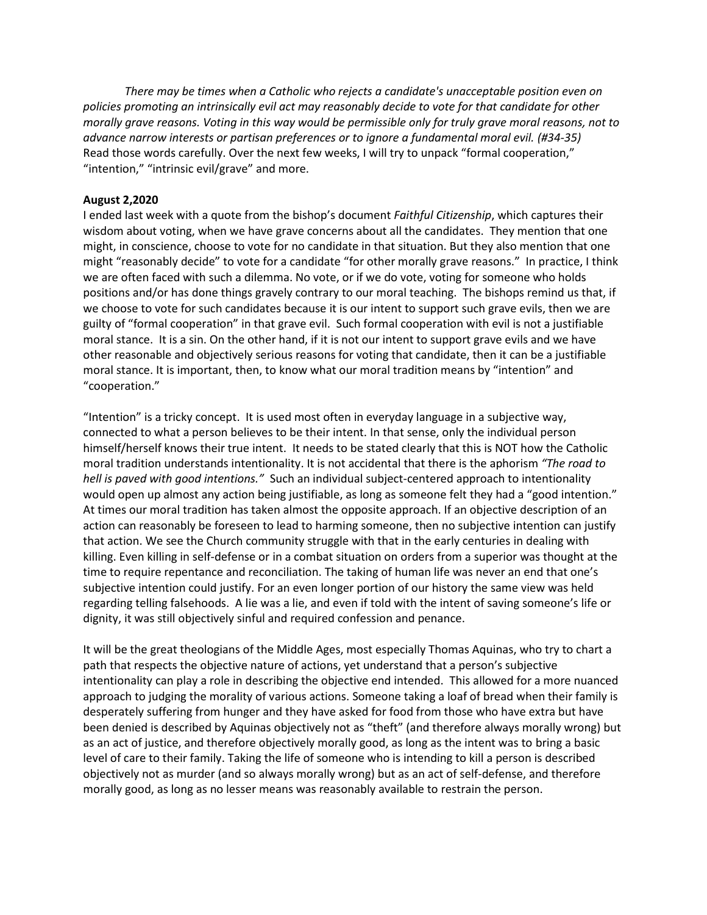*There may be times when a Catholic who rejects a candidate's unacceptable position even on policies promoting an intrinsically evil act may reasonably decide to vote for that candidate for other morally grave reasons. Voting in this way would be permissible only for truly grave moral reasons, not to advance narrow interests or partisan preferences or to ignore a fundamental moral evil. (#34-35)* Read those words carefully. Over the next few weeks, I will try to unpack "formal cooperation," "intention," "intrinsic evil/grave" and more.

### **August 2,2020**

I ended last week with a quote from the bishop's document *Faithful Citizenship*, which captures their wisdom about voting, when we have grave concerns about all the candidates. They mention that one might, in conscience, choose to vote for no candidate in that situation. But they also mention that one might "reasonably decide" to vote for a candidate "for other morally grave reasons." In practice, I think we are often faced with such a dilemma. No vote, or if we do vote, voting for someone who holds positions and/or has done things gravely contrary to our moral teaching. The bishops remind us that, if we choose to vote for such candidates because it is our intent to support such grave evils, then we are guilty of "formal cooperation" in that grave evil. Such formal cooperation with evil is not a justifiable moral stance. It is a sin. On the other hand, if it is not our intent to support grave evils and we have other reasonable and objectively serious reasons for voting that candidate, then it can be a justifiable moral stance. It is important, then, to know what our moral tradition means by "intention" and "cooperation."

"Intention" is a tricky concept. It is used most often in everyday language in a subjective way, connected to what a person believes to be their intent. In that sense, only the individual person himself/herself knows their true intent. It needs to be stated clearly that this is NOT how the Catholic moral tradition understands intentionality. It is not accidental that there is the aphorism *"The road to hell is paved with good intentions."* Such an individual subject-centered approach to intentionality would open up almost any action being justifiable, as long as someone felt they had a "good intention." At times our moral tradition has taken almost the opposite approach. If an objective description of an action can reasonably be foreseen to lead to harming someone, then no subjective intention can justify that action. We see the Church community struggle with that in the early centuries in dealing with killing. Even killing in self-defense or in a combat situation on orders from a superior was thought at the time to require repentance and reconciliation. The taking of human life was never an end that one's subjective intention could justify. For an even longer portion of our history the same view was held regarding telling falsehoods. A lie was a lie, and even if told with the intent of saving someone's life or dignity, it was still objectively sinful and required confession and penance.

It will be the great theologians of the Middle Ages, most especially Thomas Aquinas, who try to chart a path that respects the objective nature of actions, yet understand that a person's subjective intentionality can play a role in describing the objective end intended. This allowed for a more nuanced approach to judging the morality of various actions. Someone taking a loaf of bread when their family is desperately suffering from hunger and they have asked for food from those who have extra but have been denied is described by Aquinas objectively not as "theft" (and therefore always morally wrong) but as an act of justice, and therefore objectively morally good, as long as the intent was to bring a basic level of care to their family. Taking the life of someone who is intending to kill a person is described objectively not as murder (and so always morally wrong) but as an act of self-defense, and therefore morally good, as long as no lesser means was reasonably available to restrain the person.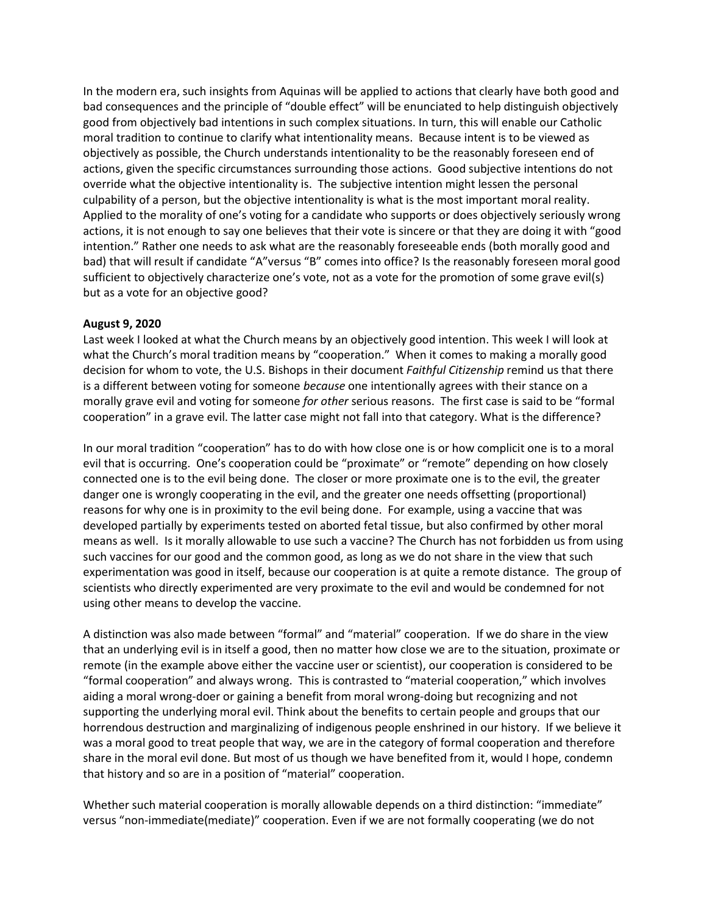In the modern era, such insights from Aquinas will be applied to actions that clearly have both good and bad consequences and the principle of "double effect" will be enunciated to help distinguish objectively good from objectively bad intentions in such complex situations. In turn, this will enable our Catholic moral tradition to continue to clarify what intentionality means. Because intent is to be viewed as objectively as possible, the Church understands intentionality to be the reasonably foreseen end of actions, given the specific circumstances surrounding those actions. Good subjective intentions do not override what the objective intentionality is. The subjective intention might lessen the personal culpability of a person, but the objective intentionality is what is the most important moral reality. Applied to the morality of one's voting for a candidate who supports or does objectively seriously wrong actions, it is not enough to say one believes that their vote is sincere or that they are doing it with "good intention." Rather one needs to ask what are the reasonably foreseeable ends (both morally good and bad) that will result if candidate "A"versus "B" comes into office? Is the reasonably foreseen moral good sufficient to objectively characterize one's vote, not as a vote for the promotion of some grave evil(s) but as a vote for an objective good?

### **August 9, 2020**

Last week I looked at what the Church means by an objectively good intention. This week I will look at what the Church's moral tradition means by "cooperation." When it comes to making a morally good decision for whom to vote, the U.S. Bishops in their document *Faithful Citizenship* remind us that there is a different between voting for someone *because* one intentionally agrees with their stance on a morally grave evil and voting for someone *for other* serious reasons. The first case is said to be "formal cooperation" in a grave evil. The latter case might not fall into that category. What is the difference?

In our moral tradition "cooperation" has to do with how close one is or how complicit one is to a moral evil that is occurring. One's cooperation could be "proximate" or "remote" depending on how closely connected one is to the evil being done. The closer or more proximate one is to the evil, the greater danger one is wrongly cooperating in the evil, and the greater one needs offsetting (proportional) reasons for why one is in proximity to the evil being done. For example, using a vaccine that was developed partially by experiments tested on aborted fetal tissue, but also confirmed by other moral means as well. Is it morally allowable to use such a vaccine? The Church has not forbidden us from using such vaccines for our good and the common good, as long as we do not share in the view that such experimentation was good in itself, because our cooperation is at quite a remote distance. The group of scientists who directly experimented are very proximate to the evil and would be condemned for not using other means to develop the vaccine.

A distinction was also made between "formal" and "material" cooperation. If we do share in the view that an underlying evil is in itself a good, then no matter how close we are to the situation, proximate or remote (in the example above either the vaccine user or scientist), our cooperation is considered to be "formal cooperation" and always wrong. This is contrasted to "material cooperation," which involves aiding a moral wrong-doer or gaining a benefit from moral wrong-doing but recognizing and not supporting the underlying moral evil. Think about the benefits to certain people and groups that our horrendous destruction and marginalizing of indigenous people enshrined in our history. If we believe it was a moral good to treat people that way, we are in the category of formal cooperation and therefore share in the moral evil done. But most of us though we have benefited from it, would I hope, condemn that history and so are in a position of "material" cooperation.

Whether such material cooperation is morally allowable depends on a third distinction: "immediate" versus "non-immediate(mediate)" cooperation. Even if we are not formally cooperating (we do not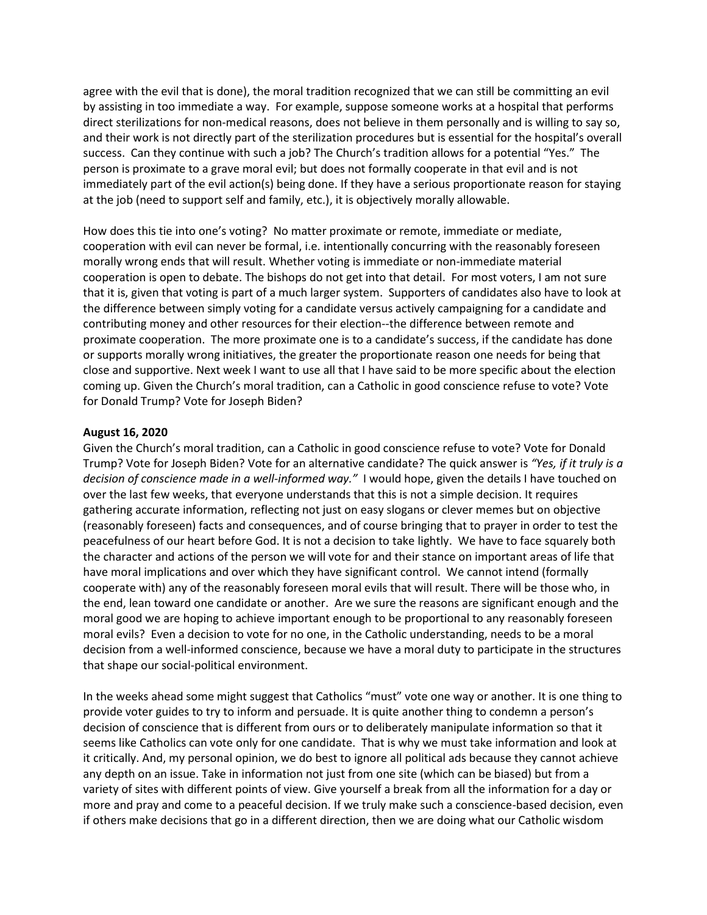agree with the evil that is done), the moral tradition recognized that we can still be committing an evil by assisting in too immediate a way. For example, suppose someone works at a hospital that performs direct sterilizations for non-medical reasons, does not believe in them personally and is willing to say so, and their work is not directly part of the sterilization procedures but is essential for the hospital's overall success. Can they continue with such a job? The Church's tradition allows for a potential "Yes." The person is proximate to a grave moral evil; but does not formally cooperate in that evil and is not immediately part of the evil action(s) being done. If they have a serious proportionate reason for staying at the job (need to support self and family, etc.), it is objectively morally allowable.

How does this tie into one's voting? No matter proximate or remote, immediate or mediate, cooperation with evil can never be formal, i.e. intentionally concurring with the reasonably foreseen morally wrong ends that will result. Whether voting is immediate or non-immediate material cooperation is open to debate. The bishops do not get into that detail. For most voters, I am not sure that it is, given that voting is part of a much larger system. Supporters of candidates also have to look at the difference between simply voting for a candidate versus actively campaigning for a candidate and contributing money and other resources for their election--the difference between remote and proximate cooperation. The more proximate one is to a candidate's success, if the candidate has done or supports morally wrong initiatives, the greater the proportionate reason one needs for being that close and supportive. Next week I want to use all that I have said to be more specific about the election coming up. Given the Church's moral tradition, can a Catholic in good conscience refuse to vote? Vote for Donald Trump? Vote for Joseph Biden?

### **August 16, 2020**

Given the Church's moral tradition, can a Catholic in good conscience refuse to vote? Vote for Donald Trump? Vote for Joseph Biden? Vote for an alternative candidate? The quick answer is *"Yes, if it truly is a decision of conscience made in a well-informed way."* I would hope, given the details I have touched on over the last few weeks, that everyone understands that this is not a simple decision. It requires gathering accurate information, reflecting not just on easy slogans or clever memes but on objective (reasonably foreseen) facts and consequences, and of course bringing that to prayer in order to test the peacefulness of our heart before God. It is not a decision to take lightly. We have to face squarely both the character and actions of the person we will vote for and their stance on important areas of life that have moral implications and over which they have significant control. We cannot intend (formally cooperate with) any of the reasonably foreseen moral evils that will result. There will be those who, in the end, lean toward one candidate or another. Are we sure the reasons are significant enough and the moral good we are hoping to achieve important enough to be proportional to any reasonably foreseen moral evils? Even a decision to vote for no one, in the Catholic understanding, needs to be a moral decision from a well-informed conscience, because we have a moral duty to participate in the structures that shape our social-political environment.

In the weeks ahead some might suggest that Catholics "must" vote one way or another. It is one thing to provide voter guides to try to inform and persuade. It is quite another thing to condemn a person's decision of conscience that is different from ours or to deliberately manipulate information so that it seems like Catholics can vote only for one candidate. That is why we must take information and look at it critically. And, my personal opinion, we do best to ignore all political ads because they cannot achieve any depth on an issue. Take in information not just from one site (which can be biased) but from a variety of sites with different points of view. Give yourself a break from all the information for a day or more and pray and come to a peaceful decision. If we truly make such a conscience-based decision, even if others make decisions that go in a different direction, then we are doing what our Catholic wisdom